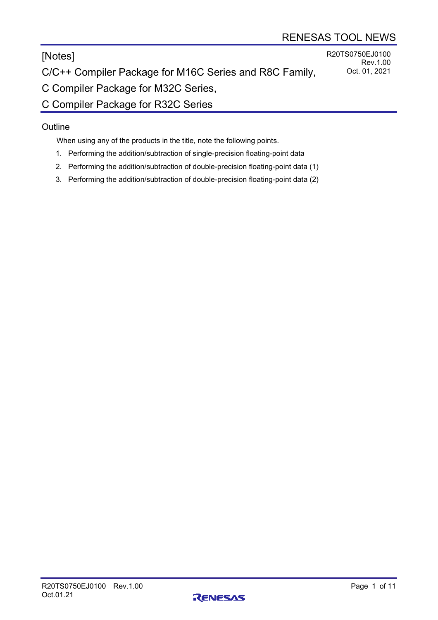# [Notes]

R20TS0750EJ0100 Rev.1.00 Oct. 01, 2021

C/C++ Compiler Package for M16C Series and R8C Family,

C Compiler Package for M32C Series,

C Compiler Package for R32C Series

# **Outline**

When using any of the products in the title, note the following points.

- 1. Performing the addition/subtraction of single-precision floating-point data
- 2. Performing the addition/subtraction of double-precision floating-point data (1)
- 3. Performing the addition/subtraction of double-precision floating-point data (2)

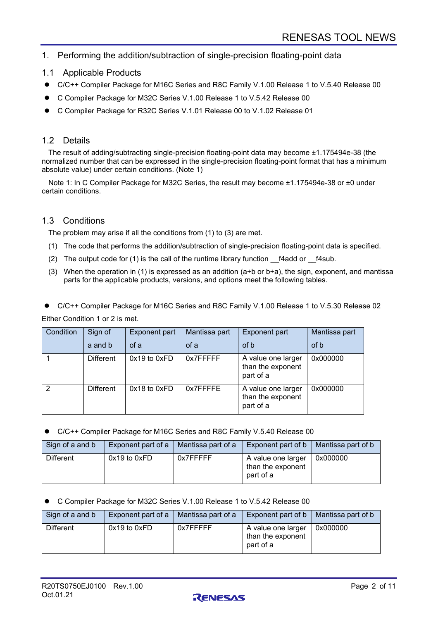# 1. Performing the addition/subtraction of single-precision floating-point data

- 1.1 Applicable Products
- C/C++ Compiler Package for M16C Series and R8C Family V.1.00 Release 1 to V.5.40 Release 00
- C Compiler Package for M32C Series V.1.00 Release 1 to V.5.42 Release 00
- C Compiler Package for R32C Series V.1.01 Release 00 to V.1.02 Release 01

# 1.2 Details

The result of adding/subtracting single-precision floating-point data may become ±1.175494e-38 (the normalized number that can be expressed in the single-precision floating-point format that has a minimum absolute value) under certain conditions. (Note 1)

Note 1: In C Compiler Package for M32C Series, the result may become ±1.175494e-38 or ±0 under certain conditions.

### 1.3 Conditions

The problem may arise if all the conditions from (1) to (3) are met.

- (1) The code that performs the addition/subtraction of single-precision floating-point data is specified.
- (2) The output code for (1) is the call of the runtime library function  $f4$ add or  $f4$ sub.
- (3) When the operation in (1) is expressed as an addition (a+b or b+a), the sign, exponent, and mantissa parts for the applicable products, versions, and options meet the following tables.
- C/C++ Compiler Package for M16C Series and R8C Family V.1.00 Release 1 to V.5.30 Release 02

Either Condition 1 or 2 is met.

| Condition | Sign of   | <b>Exponent part</b> | Mantissa part | <b>Exponent part</b>                                 | Mantissa part |
|-----------|-----------|----------------------|---------------|------------------------------------------------------|---------------|
|           | a and b   | of a                 | of a          | of b                                                 | of b          |
|           | Different | 0x19 to 0xFD         | 0x7FFFFF      | A value one larger<br>than the exponent<br>part of a | 0x000000      |
| 2         | Different | 0x18 to 0xFD         | 0x7FFFFE      | A value one larger<br>than the exponent<br>part of a | 0x000000      |

C/C++ Compiler Package for M16C Series and R8C Family V.5.40 Release 00

| Sign of a and b | Exponent part of a   Mantissa part of a |          | Exponent part of $\mathsf{b}$                        | Mantissa part of b |
|-----------------|-----------------------------------------|----------|------------------------------------------------------|--------------------|
| Different       | $0x19$ to $0xFD$                        | 0x7FFFFF | A value one larger<br>than the exponent<br>part of a | 0x000000           |

C Compiler Package for M32C Series V.1.00 Release 1 to V.5.42 Release 00

| Sign of a and b | Exponent part of a   Mantissa part of a |          | Exponent part of $\mathfrak b$   Mantissa part of $\mathfrak b$ |          |
|-----------------|-----------------------------------------|----------|-----------------------------------------------------------------|----------|
| Different       | $0x19$ to $0xFD$                        | 0x7FFFFF | A value one larger<br>than the exponent<br>part of a            | 0x000000 |

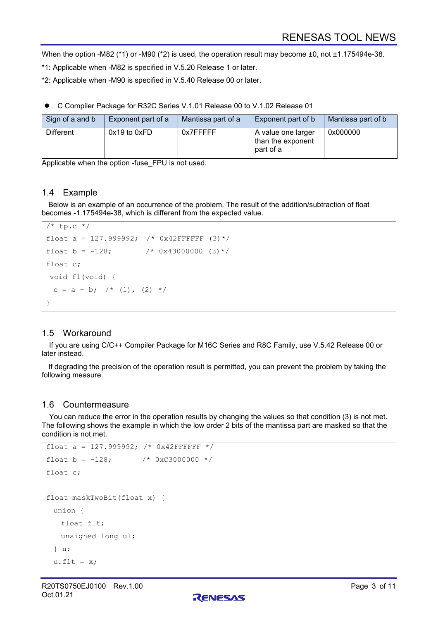When the option -M82 (\*1) or -M90 (\*2) is used, the operation result may become ±0, not ±1.175494e-38.

\*1: Applicable when -M82 is specified in V.5.20 Release 1 or later.

\*2: Applicable when -M90 is specified in V.5.40 Release 00 or later.

C Compiler Package for R32C Series V.1.01 Release 00 to V.1.02 Release 01

| Sign of a and b | Exponent part of a | Mantissa part of a | <b>Exponent part of b</b>                            | Mantissa part of b |
|-----------------|--------------------|--------------------|------------------------------------------------------|--------------------|
| Different       | $0x19$ to $0xFD$   | 0x7FFFFF           | A value one larger<br>than the exponent<br>part of a | 0x000000           |

Applicable when the option -fuse\_FPU is not used.

# 1.4 Example

Below is an example of an occurrence of the problem. The result of the addition/subtraction of float becomes -1.175494e-38, which is different from the expected value.

```
/* tp.c */float a = 127.999992; /* 0x42FFFFFF (3) */
float b = -128; /* 0x43000000 (3)*/float c;
void f1(void) {
 c = a + b; /* (1), (2) */
}
```
# 1.5 Workaround

If you are using C/C++ Compiler Package for M16C Series and R8C Family, use V.5.42 Release 00 or later instead.

If degrading the precision of the operation result is permitted, you can prevent the problem by taking the following measure.

### 1.6 Countermeasure

You can reduce the error in the operation results by changing the values so that condition (3) is not met. The following shows the example in which the low order 2 bits of the mantissa part are masked so that the condition is not met.

```
float a = 127.999992; /* 0x42FFFFFF */float b = -128; / * 0xC3000000 * /float c;
float maskTwoBit(float x) {
  union {
    float flt;
    unsigned long ul;
  } u;
 u.flt = x;
```
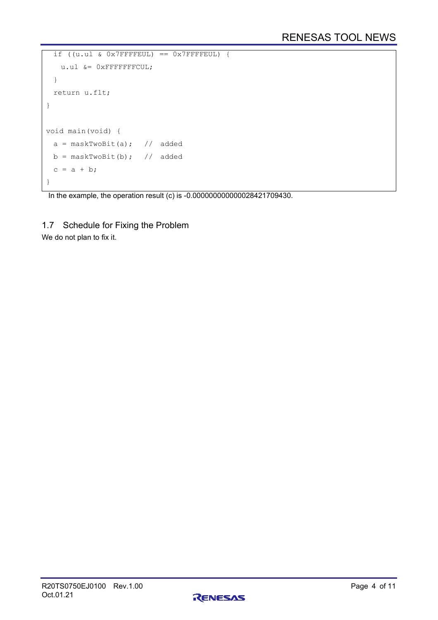```
if ((u.u1 & 0x7FFFFEUL) == 0x7FFFFEUL) u.ul &= 0xFFFFFFFCUL;
  }
  return u.flt;
}
void main(void) {
 a = maskTwoBit(a); // addedb = maskTwoBit(b); // addedc = a + b;
}
```
In the example, the operation result (c) is -0.000000000000028421709430.

1.7 Schedule for Fixing the Problem

We do not plan to fix it.

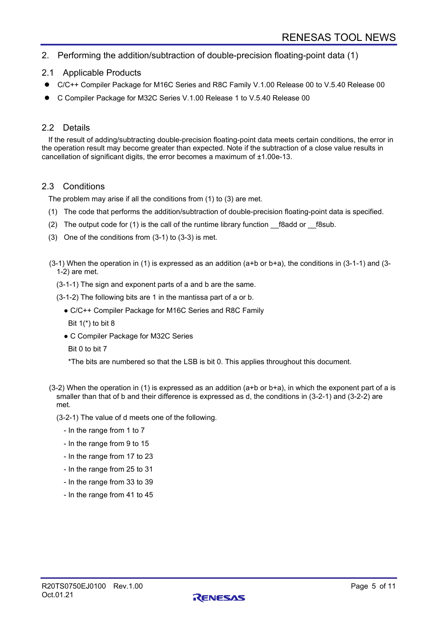# 2. Performing the addition/subtraction of double-precision floating-point data (1)

### 2.1 Applicable Products

- C/C++ Compiler Package for M16C Series and R8C Family V.1.00 Release 00 to V.5.40 Release 00
- C Compiler Package for M32C Series V.1.00 Release 1 to V.5.40 Release 00

#### 2.2 Details

If the result of adding/subtracting double-precision floating-point data meets certain conditions, the error in the operation result may become greater than expected. Note if the subtraction of a close value results in cancellation of significant digits, the error becomes a maximum of ±1.00e-13.

#### 2.3 Conditions

The problem may arise if all the conditions from (1) to (3) are met.

- (1) The code that performs the addition/subtraction of double-precision floating-point data is specified.
- (2) The output code for (1) is the call of the runtime library function  $f8$ add or  $f8$ sub.
- (3) One of the conditions from (3-1) to (3-3) is met.

(3-1) When the operation in (1) is expressed as an addition (a+b or b+a), the conditions in (3-1-1) and (3- 1-2) are met.

(3-1-1) The sign and exponent parts of a and b are the same.

(3-1-2) The following bits are 1 in the mantissa part of a or b.

- C/C++ Compiler Package for M16C Series and R8C Family
	- Bit  $1(*)$  to bit 8
- C Compiler Package for M32C Series
- Bit 0 to bit 7

\*The bits are numbered so that the LSB is bit 0. This applies throughout this document.

(3-2) When the operation in (1) is expressed as an addition (a+b or b+a), in which the exponent part of a is smaller than that of b and their difference is expressed as d, the conditions in (3-2-1) and (3-2-2) are met.

(3-2-1) The value of d meets one of the following.

- In the range from 1 to 7
- In the range from 9 to 15
- In the range from 17 to 23
- In the range from 25 to 31
- In the range from 33 to 39
- In the range from 41 to 45

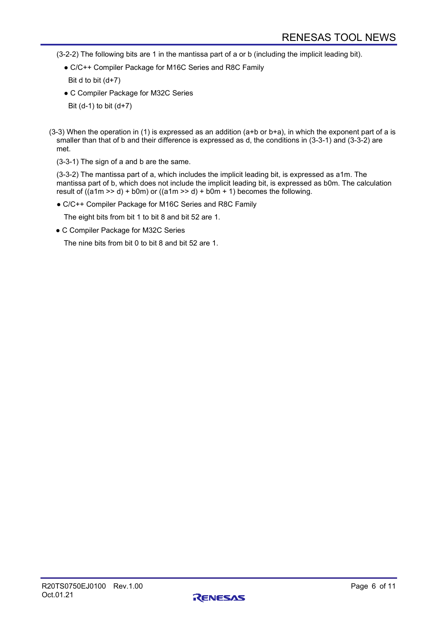(3-2-2) The following bits are 1 in the mantissa part of a or b (including the implicit leading bit).

● C/C++ Compiler Package for M16C Series and R8C Family

Bit d to bit  $(d+7)$ 

- C Compiler Package for M32C Series
- Bit  $(d-1)$  to bit  $(d+7)$
- $(3-3)$  When the operation in (1) is expressed as an addition  $(a+b)$  or  $b+a$ ), in which the exponent part of a is smaller than that of b and their difference is expressed as d, the conditions in (3-3-1) and (3-3-2) are met.
	- (3-3-1) The sign of a and b are the same.

(3-3-2) The mantissa part of a, which includes the implicit leading bit, is expressed as a1m. The mantissa part of b, which does not include the implicit leading bit, is expressed as b0m. The calculation result of  $((a1m \gg d) + b0m)$  or  $((a1m \gg d) + b0m + 1)$  becomes the following.

● C/C++ Compiler Package for M16C Series and R8C Family

The eight bits from bit 1 to bit 8 and bit 52 are 1.

● C Compiler Package for M32C Series

The nine bits from bit 0 to bit 8 and bit 52 are 1.

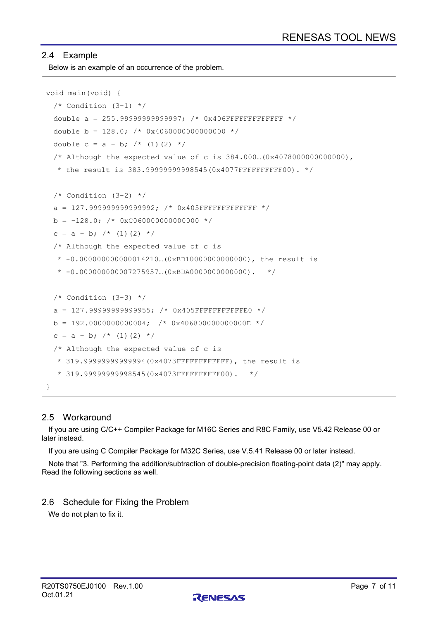# 2.4 Example

Below is an example of an occurrence of the problem.

```
void main(void) {
 /* Condition (3-1) */double a = 255.999999999999997; /* 0x406 FFFFFFFFFFFFFFFFFFF */double b = 128.0; /* 0 \times 40600000000000000 */
 double c = a + b; /* (1)(2) *//* Although the expected value of c is 384.000... (0x4078000000000000),
  * the result is 383.99999999998545(0x4077FFFFFFFFFFF00). *//* Condition (3-2) */a = 127.9999999999999992; /* 0x405FFFFFFFFFFFFFFFFFF */b = -128.0; /* 0xC060000000000000 */
 c = a + b; /* (1)(2) */
 /* Although the expected value of c is 
  * -0.000000000000014210…(0xBD10000000000000), the result is
  * -0.000000000007275957... (0xBDA0000000000000000). *//* Condition (3-3) */a = 127.999999999999955; /* 0x405FFFFFFFFFFFFFF60 */b = 192.00000000000004; /* 0x4068000000000000E */
 c = a + b; /* (1)(2) */
  /* Although the expected value of c is
  * 319.99999999999994(0x4073FFFFFFFFFFFF), the result is 
   * 319.99999999998545(0x4073FFFFFFFFFF00). */
}
```
# 2.5 Workaround

If you are using C/C++ Compiler Package for M16C Series and R8C Family, use V5.42 Release 00 or later instead.

If you are using C Compiler Package for M32C Series, use V.5.41 Release 00 or later instead.

Note that "3. Performing the addition/subtraction of double-precision floating-point data (2)" may apply. Read the following sections as well.

### 2.6 Schedule for Fixing the Problem

We do not plan to fix it.

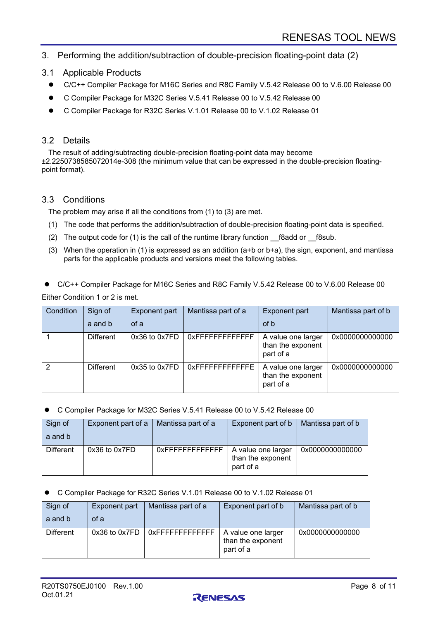- 3. Performing the addition/subtraction of double-precision floating-point data (2)
- 3.1 Applicable Products
	- C/C++ Compiler Package for M16C Series and R8C Family V.5.42 Release 00 to V.6.00 Release 00
	- C Compiler Package for M32C Series V.5.41 Release 00 to V.5.42 Release 00
	- C Compiler Package for R32C Series V.1.01 Release 00 to V.1.02 Release 01

# 3.2 Details

The result of adding/subtracting double-precision floating-point data may become ±2.2250738585072014e-308 (the minimum value that can be expressed in the double-precision floatingpoint format).

# 3.3 Conditions

The problem may arise if all the conditions from (1) to (3) are met.

- (1) The code that performs the addition/subtraction of double-precision floating-point data is specified.
- (2) The output code for (1) is the call of the runtime library function  $\beta$  f8add or  $\beta$ 8sub.
- (3) When the operation in (1) is expressed as an addition (a+b or b+a), the sign, exponent, and mantissa parts for the applicable products and versions meet the following tables.

 C/C++ Compiler Package for M16C Series and R8C Family V.5.42 Release 00 to V.6.00 Release 00 Either Condition 1 or 2 is met.

| Condition | Sign of          | Exponent part     | Mantissa part of a  | <b>Exponent part</b>                                 | Mantissa part of b |
|-----------|------------------|-------------------|---------------------|------------------------------------------------------|--------------------|
|           | a and b          | of a              |                     | of b                                                 |                    |
|           | <b>Different</b> | $0x36$ to $0x7FD$ | $0x$ FFFFFFFFFFFFFF | A value one larger<br>than the exponent<br>part of a | 0x0000000000000    |
|           | <b>Different</b> | 0x35 to 0x7FD     | 0xFFFFFFFFFFFFFF    | A value one larger<br>than the exponent<br>part of a | 0x0000000000000    |

#### C Compiler Package for M32C Series V.5.41 Release 00 to V.5.42 Release 00

| Sign of<br>a and b | Exponent part of a | Mantissa part of a | Exponent part of b                                   | Mantissa part of b |
|--------------------|--------------------|--------------------|------------------------------------------------------|--------------------|
| <b>Different</b>   | $0x36$ to $0x7FD$  | 0xFFFFFFFFFFFFFF   | A value one larger<br>than the exponent<br>part of a | 0x0000000000000    |

#### C Compiler Package for R32C Series V.1.01 Release 00 to V.1.02 Release 01

| Sign of          | <b>Exponent part</b> | Mantissa part of a | Exponent part of b                                   | Mantissa part of b |
|------------------|----------------------|--------------------|------------------------------------------------------|--------------------|
| a and b          | of a                 |                    |                                                      |                    |
| <b>Different</b> | $0x36$ to $0x7FD$    | 0xFFFFFFFFFFFFFF   | A value one larger<br>than the exponent<br>part of a | 0x0000000000000    |

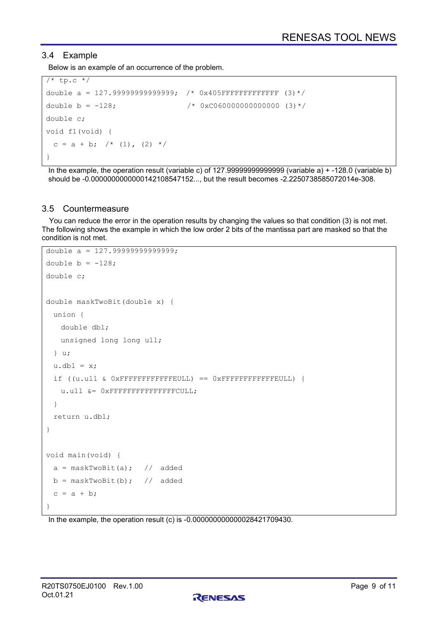# 3.4 Example

Below is an example of an occurrence of the problem.

```
/* tp.c */double a = 127.999999999999999997 /* 0x405FFFFFFFFFFFFFFFFF (3)*/
double b = -128; \frac{128}{5} /* 0xC0600000000000000 (3)*/
double c;
void f1(void) {
 c = a + b; /* (1), (2) */
}
```
In the example, the operation result (variable c) of 127.99999999999999 (variable a) + -128.0 (variable b) should be -0.0000000000000142108547152..., but the result becomes -2.2250738585072014e-308.

#### 3.5 Countermeasure

You can reduce the error in the operation results by changing the values so that condition (3) is not met. The following shows the example in which the low order 2 bits of the mantissa part are masked so that the condition is not met.

```
double a = 127.99999999999999; 
double b = -128;
double c;
double maskTwoBit(double x) {
  union {
    double dbl;
    unsigned long long ull;
  } u;
 u.dbl = x; if ((u.ull & 0xFFFFFFFFFFFFEULL) == 0xFFFFFFFFFFFFEULL) {
    u.ull &= 0xFFFFFFFFFFFFFFFCULL;
  }
  return u.dbl;
}
void main(void) {
 a = maskTwoBit(a); // addedb = maskTwoBit(b); // added
 c = a + b;
}
```
In the example, the operation result (c) is -0.000000000000028421709430.

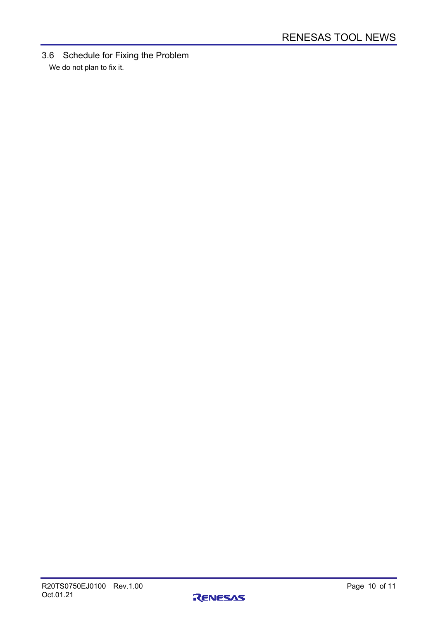3.6 Schedule for Fixing the Problem We do not plan to fix it.